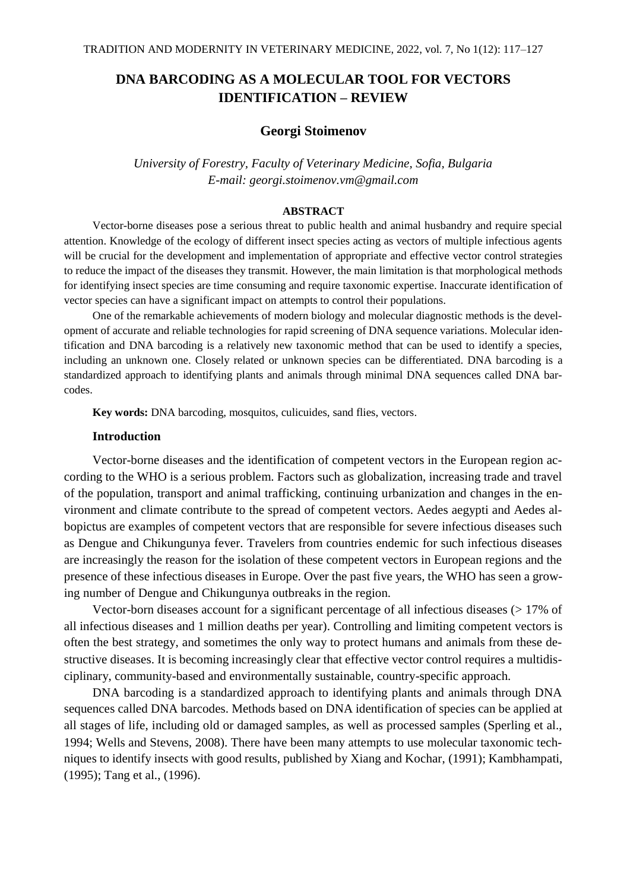# **DNA BARCODING AS A MOLECULAR TOOL FOR VECTORS IDENTIFICATION – REVIEW**

## **Georgi Stoimenov**

*University of Forestry, Faculty of Veterinary Medicine, Sofia, Bulgaria E-mail: georgi.stoimenov.vm@gmail.com*

#### **ABSTRACT**

Vector-borne diseases pose a serious threat to public health and animal husbandry and require special attention. Knowledge of the ecology of different insect species acting as vectors of multiple infectious agents will be crucial for the development and implementation of appropriate and effective vector control strategies to reduce the impact of the diseases they transmit. However, the main limitation is that morphological methods for identifying insect species are time consuming and require taxonomic expertise. Inaccurate identification of vector species can have a significant impact on attempts to control their populations.

One of the remarkable achievements of modern biology and molecular diagnostic methods is the development of accurate and reliable technologies for rapid screening of DNA sequence variations. Molecular identification and DNA barcoding is a relatively new taxonomic method that can be used to identify a species, including an unknown one. Closely related or unknown species can be differentiated. DNA barcoding is a standardized approach to identifying plants and animals through minimal DNA sequences called DNA barcodes.

**Key words:** DNA barcoding, mosquitos, culicuides, sand flies, vectors.

### **Introduction**

Vector-borne diseases and the identification of competent vectors in the European region according to the WHO is a serious problem. Factors such as globalization, increasing trade and travel of the population, transport and animal trafficking, continuing urbanization and changes in the environment and climate contribute to the spread of competent vectors. Aedes aegypti and Aedes albopictus are examples of competent vectors that are responsible for severe infectious diseases such as Dengue and Chikungunya fever. Travelers from countries endemic for such infectious diseases are increasingly the reason for the isolation of these competent vectors in European regions and the presence of these infectious diseases in Europe. Over the past five years, the WHO has seen a growing number of Dengue and Chikungunya outbreaks in the region.

Vector-born diseases account for a significant percentage of all infectious diseases (> 17% of all infectious diseases and 1 million deaths per year). Controlling and limiting competent vectors is often the best strategy, and sometimes the only way to protect humans and animals from these destructive diseases. It is becoming increasingly clear that effective vector control requires a multidisciplinary, community-based and environmentally sustainable, country-specific approach.

DNA barcoding is a standardized approach to identifying plants and animals through DNA sequences called DNA barcodes. Methods based on DNA identification of species can be applied at all stages of life, including old or damaged samples, as well as processed samples (Sperling et al., 1994; Wells and Stevens, 2008). There have been many attempts to use molecular taxonomic techniques to identify insects with good results, published by Xiang and Kochar, (1991); Kambhampati, (1995); Tang et al., (1996).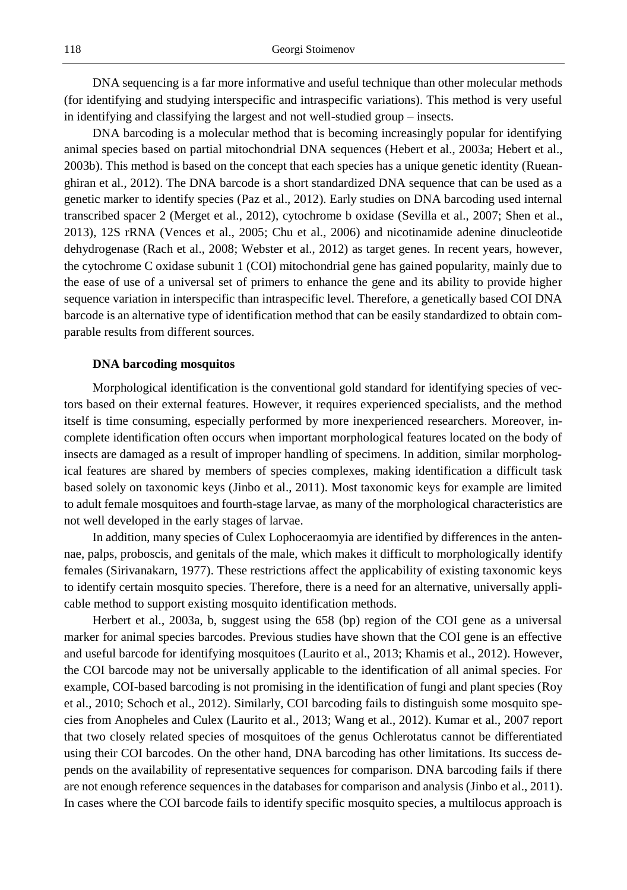DNA sequencing is a far more informative and useful technique than other molecular methods (for identifying and studying interspecific and intraspecific variations). This method is very useful in identifying and classifying the largest and not well-studied group – insects.

DNA barcoding is a molecular method that is becoming increasingly popular for identifying animal species based on partial mitochondrial DNA sequences (Hebert et al., 2003a; Hebert et al., 2003b). This method is based on the concept that each species has a unique genetic identity (Rueanghiran et al., 2012). The DNA barcode is a short standardized DNA sequence that can be used as a genetic marker to identify species (Paz et al., 2012). Early studies on DNA barcoding used internal transcribed spacer 2 (Merget et al., 2012), cytochrome b oxidase (Sevilla et al., 2007; Shen et al., 2013), 12S rRNA (Vences et al., 2005; Chu et al., 2006) and nicotinamide adenine dinucleotide dehydrogenase (Rach et al., 2008; Webster et al., 2012) as target genes. In recent years, however, the cytochrome C oxidase subunit 1 (COI) mitochondrial gene has gained popularity, mainly due to the ease of use of a universal set of primers to enhance the gene and its ability to provide higher sequence variation in interspecific than intraspecific level. Therefore, a genetically based COI DNA barcode is an alternative type of identification method that can be easily standardized to obtain comparable results from different sources.

#### **DNA barcoding mosquitos**

Morphological identification is the conventional gold standard for identifying species of vectors based on their external features. However, it requires experienced specialists, and the method itself is time consuming, especially performed by more inexperienced researchers. Moreover, incomplete identification often occurs when important morphological features located on the body of insects are damaged as a result of improper handling of specimens. In addition, similar morphological features are shared by members of species complexes, making identification a difficult task based solely on taxonomic keys (Jinbo et al., 2011). Most taxonomic keys for example are limited to adult female mosquitoes and fourth-stage larvae, as many of the morphological characteristics are not well developed in the early stages of larvae.

In addition, many species of Culex Lophoceraomyia are identified by differences in the antennae, palps, proboscis, and genitals of the male, which makes it difficult to morphologically identify females (Sirivanakarn, 1977). These restrictions affect the applicability of existing taxonomic keys to identify certain mosquito species. Therefore, there is a need for an alternative, universally applicable method to support existing mosquito identification methods.

Herbert et al., 2003a, b, suggest using the 658 (bp) region of the COI gene as a universal marker for animal species barcodes. Previous studies have shown that the COI gene is an effective and useful barcode for identifying mosquitoes (Laurito et al., 2013; Khamis et al., 2012). However, the COI barcode may not be universally applicable to the identification of all animal species. For example, COI-based barcoding is not promising in the identification of fungi and plant species (Roy et al., 2010; Schoch et al., 2012). Similarly, COI barcoding fails to distinguish some mosquito species from Anopheles and Culex (Laurito et al., 2013; Wang et al., 2012). Kumar et al., 2007 report that two closely related species of mosquitoes of the genus Ochlerotatus cannot be differentiated using their COI barcodes. On the other hand, DNA barcoding has other limitations. Its success depends on the availability of representative sequences for comparison. DNA barcoding fails if there are not enough reference sequences in the databases for comparison and analysis (Jinbo et al., 2011). In cases where the COI barcode fails to identify specific mosquito species, a multilocus approach is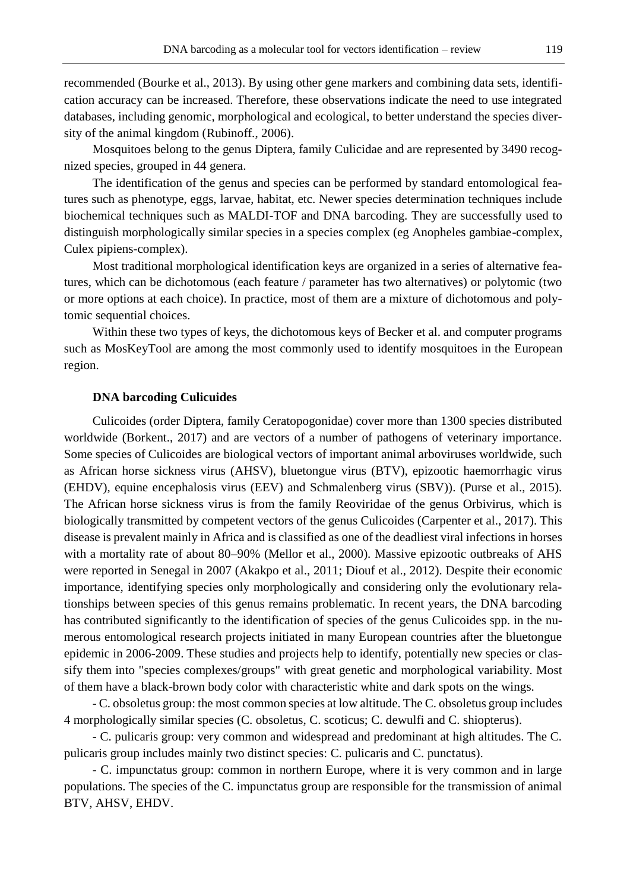recommended (Bourke et al., 2013). By using other gene markers and combining data sets, identification accuracy can be increased. Therefore, these observations indicate the need to use integrated databases, including genomic, morphological and ecological, to better understand the species diversity of the animal kingdom (Rubinoff., 2006).

Mosquitoes belong to the genus Diptera, family Culicidae and are represented by 3490 recognized species, grouped in 44 genera.

The identification of the genus and species can be performed by standard entomological features such as phenotype, eggs, larvae, habitat, etc. Newer species determination techniques include biochemical techniques such as MALDI-TOF and DNA barcoding. They are successfully used to distinguish morphologically similar species in a species complex (eg Anopheles gambiae-complex, Culex pipiens-complex).

Most traditional morphological identification keys are organized in a series of alternative features, which can be dichotomous (each feature / parameter has two alternatives) or polytomic (two or more options at each choice). In practice, most of them are a mixture of dichotomous and polytomic sequential choices.

Within these two types of keys, the dichotomous keys of Becker et al. and computer programs such as MosKeyTool are among the most commonly used to identify mosquitoes in the European region.

## **DNA barcoding Culicuides**

Culicoides (order Diptera, family Ceratopogonidae) cover more than 1300 species distributed worldwide (Borkent., 2017) and are vectors of a number of pathogens of veterinary importance. Some species of Culicoides are biological vectors of important animal arboviruses worldwide, such as African horse sickness virus (AHSV), bluetongue virus (BTV), epizootic haemorrhagic virus (EHDV), equine encephalosis virus (EEV) and Schmalenberg virus (SBV)). (Purse et al., 2015). The African horse sickness virus is from the family Reoviridae of the genus Orbivirus, which is biologically transmitted by competent vectors of the genus Culicoides (Carpenter et al., 2017). This disease is prevalent mainly in Africa and is classified as one of the deadliest viral infections in horses with a mortality rate of about 80–90% (Mellor et al., 2000). Massive epizootic outbreaks of AHS were reported in Senegal in 2007 (Akakpo et al., 2011; Diouf et al., 2012). Despite their economic importance, identifying species only morphologically and considering only the evolutionary relationships between species of this genus remains problematic. In recent years, the DNA barcoding has contributed significantly to the identification of species of the genus Culicoides spp. in the numerous entomological research projects initiated in many European countries after the bluetongue epidemic in 2006-2009. These studies and projects help to identify, potentially new species or classify them into "species complexes/groups" with great genetic and morphological variability. Most of them have a black-brown body color with characteristic white and dark spots on the wings.

- C. obsoletus group: the most common species at low altitude. The C. obsoletus group includes 4 morphologically similar species (C. obsoletus, C. scoticus; C. dewulfi and C. shiopterus).

- C. pulicaris group: very common and widespread and predominant at high altitudes. The C. pulicaris group includes mainly two distinct species: C. pulicaris and C. punctatus).

- C. impunctatus group: common in northern Europe, where it is very common and in large populations. The species of the C. impunctatus group are responsible for the transmission of animal BTV, AHSV, EHDV.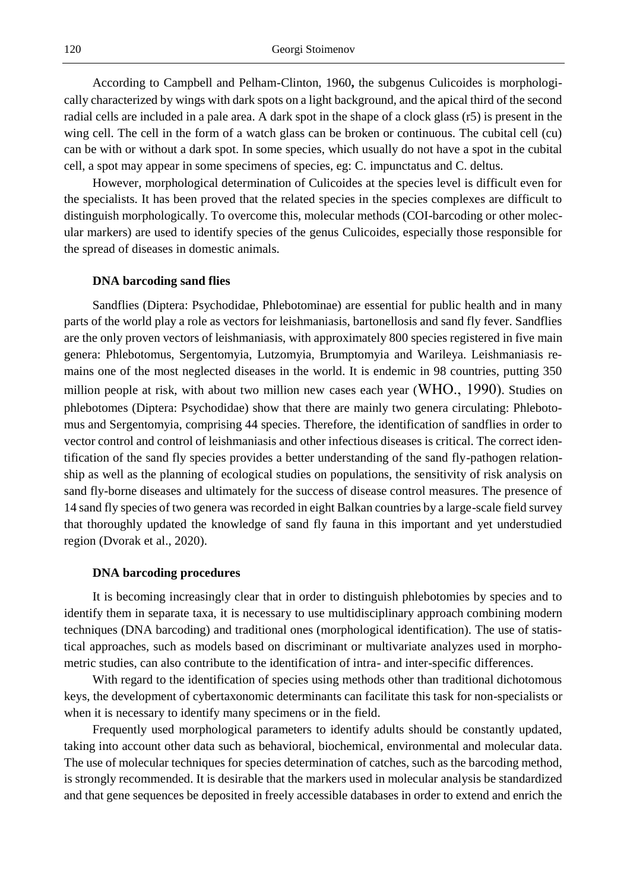According to Campbell and Pelham-Clinton, 1960**,** the subgenus Culicoides is morphologically characterized by wings with dark spots on a light background, and the apical third of the second radial cells are included in a pale area. A dark spot in the shape of a clock glass (r5) is present in the wing cell. The cell in the form of a watch glass can be broken or continuous. The cubital cell (cu) can be with or without a dark spot. In some species, which usually do not have a spot in the cubital cell, a spot may appear in some specimens of species, eg: C. impunctatus and C. deltus.

However, morphological determination of Culicoides at the species level is difficult even for the specialists. It has been proved that the related species in the species complexes are difficult to distinguish morphologically. To overcome this, molecular methods (COI-barcoding or other molecular markers) are used to identify species of the genus Culicoides, especially those responsible for the spread of diseases in domestic animals.

#### **DNA barcoding sand flies**

Sandflies (Diptera: Psychodidae, Phlebotominae) are essential for public health and in many parts of the world play a role as vectors for leishmaniasis, bartonellosis and sand fly fever. Sandflies are the only proven vectors of leishmaniasis, with approximately 800 species registered in five main genera: Phlebotomus, Sergentomyia, Lutzomyia, Brumptomyia and Warileya. Leishmaniasis remains one of the most neglected diseases in the world. It is endemic in 98 countries, putting 350 million people at risk, with about two million new cases each year (WHO., 1990). Studies on phlebotomes (Diptera: Psychodidae) show that there are mainly two genera circulating: Phlebotomus and Sergentomyia, comprising 44 species. Therefore, the identification of sandflies in order to vector control and control of leishmaniasis and other infectious diseases is critical. The correct identification of the sand fly species provides a better understanding of the sand fly-pathogen relationship as well as the planning of ecological studies on populations, the sensitivity of risk analysis on sand fly-borne diseases and ultimately for the success of disease control measures. The presence of 14 sand fly species of two genera was recorded in eight Balkan countries by a large-scale field survey that thoroughly updated the knowledge of sand fly fauna in this important and yet understudied region (Dvorak et al., 2020).

## **DNA barcoding procedures**

It is becoming increasingly clear that in order to distinguish phlebotomies by species and to identify them in separate taxa, it is necessary to use multidisciplinary approach combining modern techniques (DNA barcoding) and traditional ones (morphological identification). The use of statistical approaches, such as models based on discriminant or multivariate analyzes used in morphometric studies, can also contribute to the identification of intra- and inter-specific differences.

With regard to the identification of species using methods other than traditional dichotomous keys, the development of cybertaxonomic determinants can facilitate this task for non-specialists or when it is necessary to identify many specimens or in the field.

Frequently used morphological parameters to identify adults should be constantly updated, taking into account other data such as behavioral, biochemical, environmental and molecular data. The use of molecular techniques for species determination of catches, such as the barcoding method, is strongly recommended. It is desirable that the markers used in molecular analysis be standardized and that gene sequences be deposited in freely accessible databases in order to extend and enrich the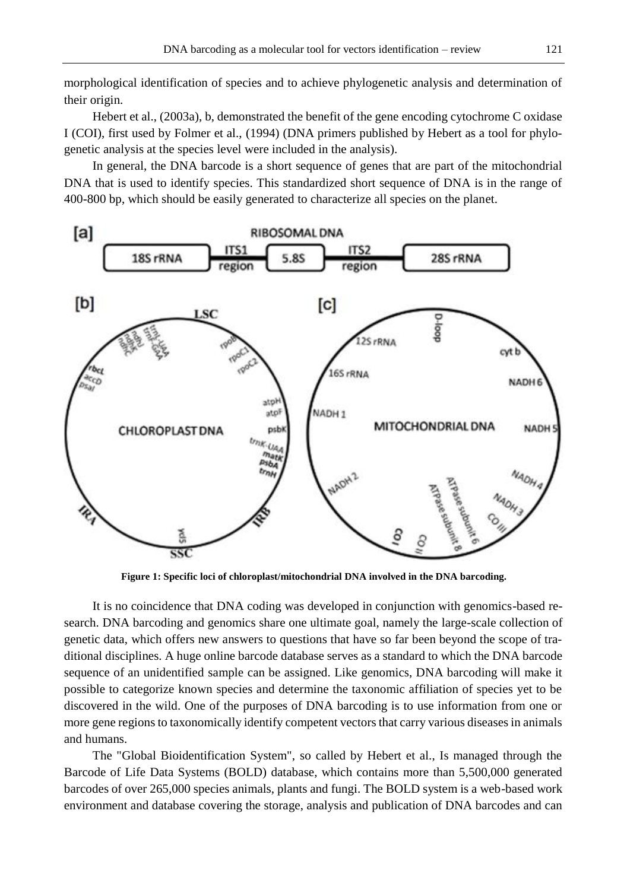morphological identification of species and to achieve phylogenetic analysis and determination of their origin.

Hebert et al., (2003a), b, demonstrated the benefit of the gene encoding cytochrome C oxidase I (COI), first used by Folmer et al., (1994) (DNA primers published by Hebert as a tool for phylogenetic analysis at the species level were included in the analysis).

In general, the DNA barcode is a short sequence of genes that are part of the mitochondrial DNA that is used to identify species. This standardized short sequence of DNA is in the range of 400-800 bp, which should be easily generated to characterize all species on the planet.



**Figure 1: Specific loci of chloroplast/mitochondrial DNA involved in the DNA barcoding.**

It is no coincidence that DNA coding was developed in conjunction with genomics-based research. DNA barcoding and genomics share one ultimate goal, namely the large-scale collection of genetic data, which offers new answers to questions that have so far been beyond the scope of traditional disciplines. A huge online barcode database serves as a standard to which the DNA barcode sequence of an unidentified sample can be assigned. Like genomics, DNA barcoding will make it possible to categorize known species and determine the taxonomic affiliation of species yet to be discovered in the wild. One of the purposes of DNA barcoding is to use information from one or more gene regions to taxonomically identify competent vectors that carry various diseases in animals and humans.

The "Global Bioidentification System", so called by Hebert et al., Is managed through the Barcode of Life Data Systems (BOLD) database, which contains more than 5,500,000 generated barcodes of over 265,000 species animals, plants and fungi. The BOLD system is a web-based work environment and database covering the storage, analysis and publication of DNA barcodes and can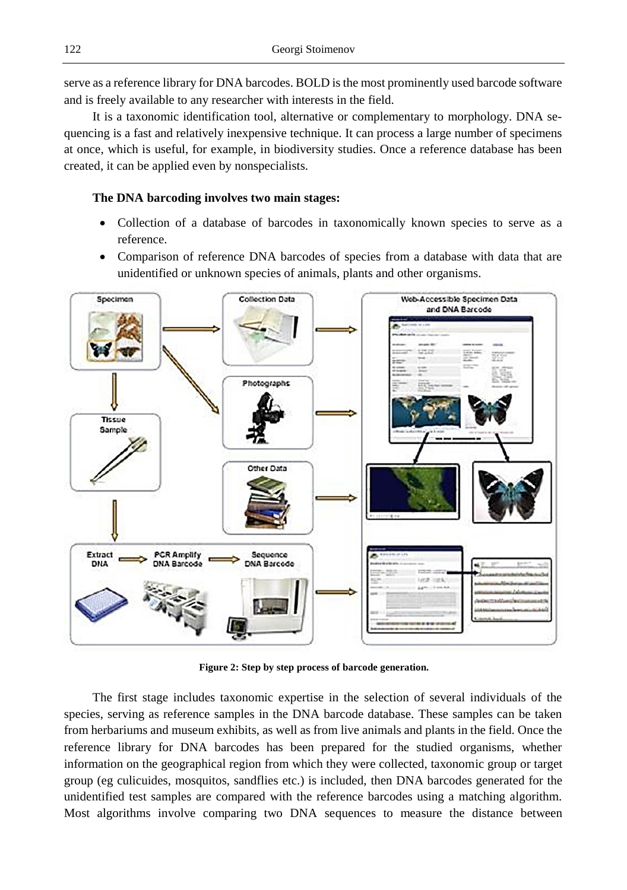serve as a reference library for DNA barcodes. BOLD is the most prominently used barcode software and is freely available to any researcher with interests in the field.

It is a taxonomic identification tool, alternative or complementary to morphology. DNA sequencing is a fast and relatively inexpensive technique. It can process a large number of specimens at once, which is useful, for example, in biodiversity studies. Once a reference database has been created, it can be applied even by nonspecialists.

# **The DNA barcoding involves two main stages:**

- Collection of a database of barcodes in taxonomically known species to serve as a reference.
- Comparison of reference DNA barcodes of species from a database with data that are unidentified or unknown species of animals, plants and other organisms.



**Figure 2: Step by step process of barcode generation.**

The first stage includes taxonomic expertise in the selection of several individuals of the species, serving as reference samples in the DNA barcode database. These samples can be taken from herbariums and museum exhibits, as well as from live animals and plants in the field. Once the reference library for DNA barcodes has been prepared for the studied organisms, whether information on the geographical region from which they were collected, taxonomic group or target group (eg culicuides, mosquitos, sandflies etc.) is included, then DNA barcodes generated for the unidentified test samples are compared with the reference barcodes using a matching algorithm. Most algorithms involve comparing two DNA sequences to measure the distance between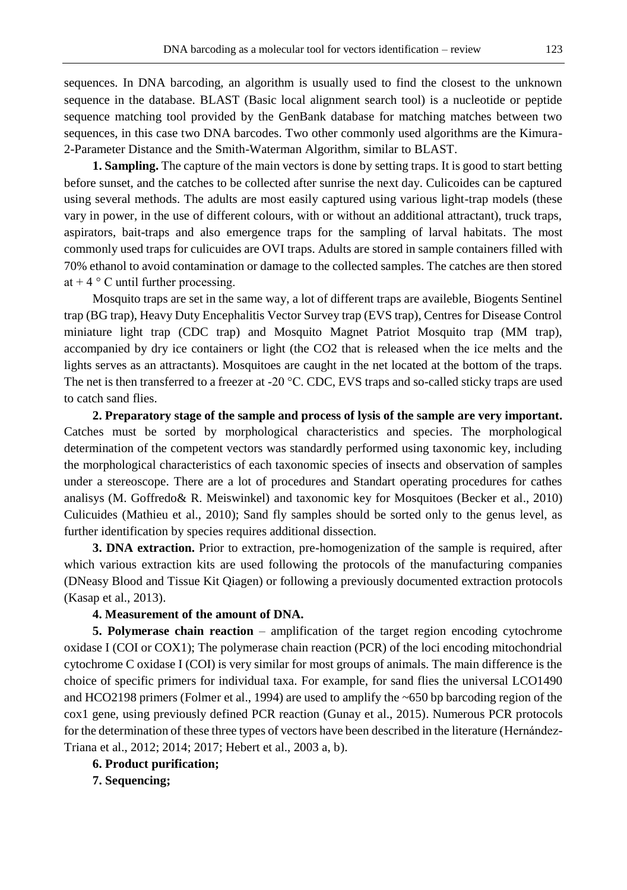sequences. In DNA barcoding, an algorithm is usually used to find the closest to the unknown sequence in the database. BLAST (Basic local alignment search tool) is a nucleotide or peptide sequence matching tool provided by the GenBank database for matching matches between two sequences, in this case two DNA barcodes. Two other commonly used algorithms are the Kimura-2-Parameter Distance and the Smith-Waterman Algorithm, similar to BLAST.

**1. Sampling.** The capture of the main vectors is done by setting traps. It is good to start betting before sunset, and the catches to be collected after sunrise the next day. Culicoides can be captured using several methods. The adults are most easily captured using various light-trap models (these vary in power, in the use of different colours, with or without an additional attractant), truck traps, aspirators, bait-traps and also emergence traps for the sampling of larval habitats. The most commonly used traps for culicuides are OVI traps. Adults are stored in sample containers filled with 70% ethanol to avoid contamination or damage to the collected samples. The catches are then stored at  $+4$  ° C until further processing.

Mosquito traps are set in the same way, a lot of different traps are availeble, Biogents Sentinel trap (BG trap), Heavy Duty Encephalitis Vector Survey trap (EVS trap), Centres for Disease Control miniature light trap (CDC trap) and Mosquito Magnet Patriot Mosquito trap (MM trap), accompanied by dry ice containers or light (the CO2 that is released when the ice melts and the lights serves as an attractants). Mosquitoes are caught in the net located at the bottom of the traps. The net is then transferred to a freezer at -20 °C. CDC, EVS traps and so-called sticky traps are used to catch sand flies.

**2. Preparatory stage of the sample and process of lysis of the sample are very important.** Catches must be sorted by morphological characteristics and species. The morphological determination of the competent vectors was standardly performed using taxonomic key, including the morphological characteristics of each taxonomic species of insects and observation of samples under a stereoscope. There are a lot of procedures and Standart operating procedures for cathes analisys (M. Goffredo& R. Meiswinkel) and taxonomic key for Mosquitoes (Becker et al., 2010) Culicuides (Mathieu et al., 2010); Sand fly samples should be sorted only to the genus level, as further identification by species requires additional dissection.

**3. DNA extraction.** Prior to extraction, pre-homogenization of the sample is required, after which various extraction kits are used following the protocols of the manufacturing companies (DNeasy Blood and Tissue Kit Qiagen) or following a previously documented extraction protocols (Kasap et al., 2013).

# **4. Measurement of the amount of DNA.**

**5. Polymerase chain reaction** – amplification of the target region encoding cytochrome oxidase I (COI or COX1); The polymerase chain reaction (PCR) of the loci encoding mitochondrial cytochrome C oxidase I (COI) is very similar for most groups of animals. The main difference is the choice of specific primers for individual taxa. For example, for sand flies the universal LCO1490 and HCO2198 primers (Folmer et al., 1994) are used to amplify the ~650 bp barcoding region of the cox1 gene, using previously defined PCR reaction (Gunay et al., 2015). Numerous PCR protocols for the determination of these three types of vectors have been described in the literature (Hernández-Triana et al., 2012; 2014; 2017; Hebert et al., 2003 a, b).

**6. Product purification;**

**7. Sequencing;**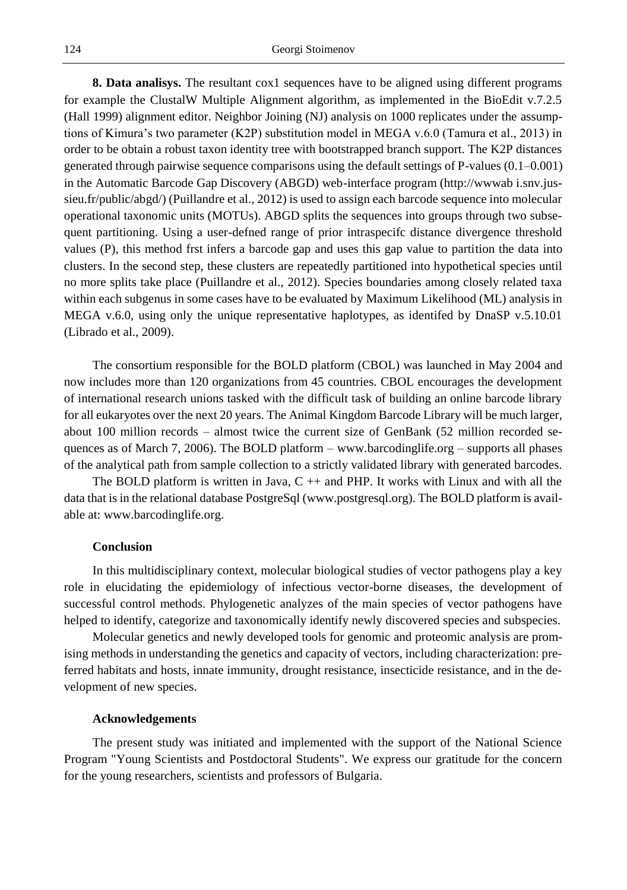**8. Data analisys.** The resultant cox1 sequences have to be aligned using different programs for example the ClustalW Multiple Alignment algorithm, as implemented in the BioEdit v.7.2.5 (Hall 1999) alignment editor. Neighbor Joining (NJ) analysis on 1000 replicates under the assumptions of Kimura's two parameter (K2P) substitution model in MEGA v.6.0 (Tamura et al., 2013) in order to be obtain a robust taxon identity tree with bootstrapped branch support. The K2P distances generated through pairwise sequence comparisons using the default settings of P-values (0.1–0.001) in the Automatic Barcode Gap Discovery (ABGD) web-interface program (http://wwwab i.snv.jussieu.fr/public/abgd/) (Puillandre et al., 2012) is used to assign each barcode sequence into molecular operational taxonomic units (MOTUs). ABGD splits the sequences into groups through two subsequent partitioning. Using a user-defned range of prior intraspecifc distance divergence threshold values (P), this method frst infers a barcode gap and uses this gap value to partition the data into clusters. In the second step, these clusters are repeatedly partitioned into hypothetical species until no more splits take place (Puillandre et al., 2012). Species boundaries among closely related taxa within each subgenus in some cases have to be evaluated by Maximum Likelihood (ML) analysis in MEGA v.6.0, using only the unique representative haplotypes, as identifed by DnaSP v.5.10.01 (Librado et al., 2009).

The consortium responsible for the BOLD platform (CBOL) was launched in May 2004 and now includes more than 120 organizations from 45 countries. CBOL encourages the development of international research unions tasked with the difficult task of building an online barcode library for all eukaryotes over the next 20 years. The Animal Kingdom Barcode Library will be much larger, about 100 million records – almost twice the current size of GenBank (52 million recorded sequences as of March 7, 2006). The BOLD platform – www.barcodinglife.org – supports all phases of the analytical path from sample collection to a strictly validated library with generated barcodes.

The BOLD platform is written in Java,  $C + \alpha$  and PHP. It works with Linux and with all the data that is in the relational database PostgreSql (www.postgresql.org). The BOLD platform is available at: www.barcodinglife.org.

# **Conclusion**

In this multidisciplinary context, molecular biological studies of vector pathogens play a key role in elucidating the epidemiology of infectious vector-borne diseases, the development of successful control methods. Phylogenetic analyzes of the main species of vector pathogens have helped to identify, categorize and taxonomically identify newly discovered species and subspecies.

Molecular genetics and newly developed tools for genomic and proteomic analysis are promising methods in understanding the genetics and capacity of vectors, including characterization: preferred habitats and hosts, innate immunity, drought resistance, insecticide resistance, and in the development of new species.

### **Acknowledgements**

The present study was initiated and implemented with the support of the National Science Program "Young Scientists and Postdoctoral Students". We express our gratitude for the concern for the young researchers, scientists and professors of Bulgaria.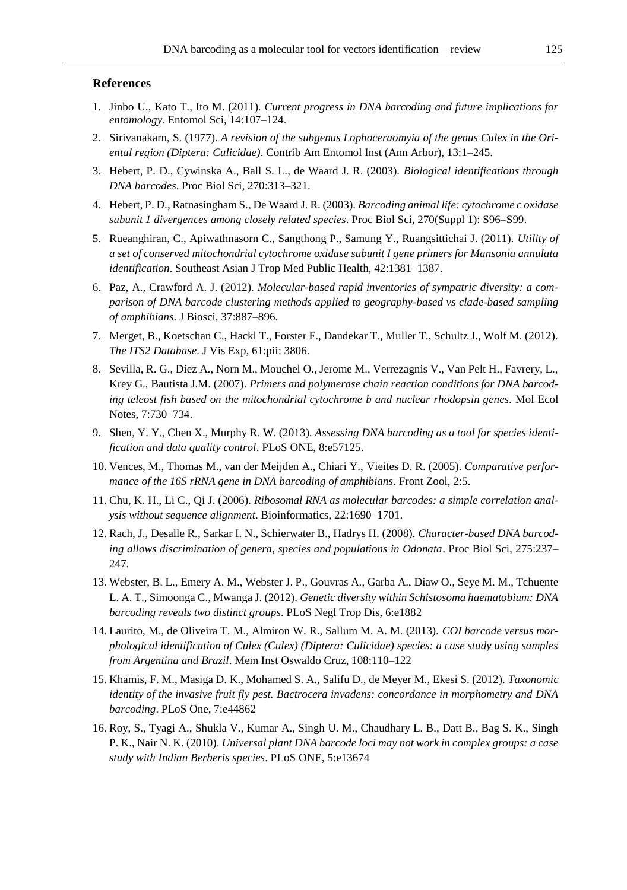# **References**

- 1. Jinbo U., Kato T., Ito M. (2011). *Current progress in DNA barcoding and future implications for entomology*. Entomol Sci, 14:107–124.
- 2. Sirivanakarn, S. (1977). *A revision of the subgenus Lophoceraomyia of the genus Culex in the Oriental region (Diptera: Culicidae)*. Contrib Am Entomol Inst (Ann Arbor), 13:1–245.
- 3. Hebert, P. D., Cywinska A., Ball S. L., de Waard J. R. (2003). *Biological identifications through DNA barcodes*. Proc Biol Sci, 270:313–321.
- 4. Hebert, P. D., Ratnasingham S., De Waard J. R. (2003). *Barcoding animal life: cytochrome c oxidase subunit 1 divergences among closely related species*. Proc Biol Sci, 270(Suppl 1): S96–S99.
- 5. Rueanghiran, C., Apiwathnasorn C., Sangthong P., Samung Y., Ruangsittichai J. (2011). *Utility of a set of conserved mitochondrial cytochrome oxidase subunit I gene primers for Mansonia annulata identification*. Southeast Asian J Trop Med Public Health, 42:1381–1387.
- 6. Paz, A., Crawford A. J. (2012). *Molecular-based rapid inventories of sympatric diversity: a comparison of DNA barcode clustering methods applied to geography-based vs clade-based sampling of amphibians*. J Biosci, 37:887–896.
- 7. Merget, B., Koetschan C., Hackl T., Forster F., Dandekar T., Muller T., Schultz J., Wolf M. (2012). *The ITS2 Database*. J Vis Exp, 61:pii: 3806.
- 8. Sevilla, R. G., Diez A., Norn M., Mouchel O., Jerome M., Verrezagnis V., Van Pelt H., Favrery, L., Krey G., Bautista J.M. (2007). *Primers and polymerase chain reaction conditions for DNA barcoding teleost fish based on the mitochondrial cytochrome b and nuclear rhodopsin genes*. Mol Ecol Notes, 7:730–734.
- 9. Shen, Y. Y., Chen X., Murphy R. W. (2013). *Assessing DNA barcoding as a tool for species identification and data quality control*. PLoS ONE, 8:e57125.
- 10. Vences, M., Thomas M., van der Meijden A., Chiari Y., Vieites D. R. (2005). *Comparative performance of the 16S rRNA gene in DNA barcoding of amphibians*. Front Zool, 2:5.
- 11. Chu, K. H., Li C., Qi J. (2006). *Ribosomal RNA as molecular barcodes: a simple correlation analysis without sequence alignment*. Bioinformatics, 22:1690–1701.
- 12. Rach, J., Desalle R., Sarkar I. N., Schierwater B., Hadrys H. (2008). *Character-based DNA barcoding allows discrimination of genera, species and populations in Odonata*. Proc Biol Sci, 275:237– 247.
- 13. Webster, B. L., Emery A. M., Webster J. P., Gouvras A., Garba A., Diaw O., Seye M. M., Tchuente L. A. T., Simoonga C., Mwanga J. (2012). *Genetic diversity within Schistosoma haematobium: DNA barcoding reveals two distinct groups*. PLoS Negl Trop Dis, 6:e1882
- 14. Laurito, M., de Oliveira T. M., Almiron W. R., Sallum M. A. M. (2013). *COI barcode versus morphological identification of Culex (Culex) (Diptera: Culicidae) species: a case study using samples from Argentina and Brazil*. Mem Inst Oswaldo Cruz, 108:110–122
- 15. Khamis, F. M., Masiga D. K., Mohamed S. A., Salifu D., de Meyer M., Ekesi S. (2012). *Taxonomic identity of the invasive fruit fly pest. Bactrocera invadens: concordance in morphometry and DNA barcoding*. PLoS One, 7:e44862
- 16. Roy, S., Tyagi A., Shukla V., Kumar A., Singh U. M., Chaudhary L. B., Datt B., Bag S. K., Singh P. K., Nair N. K. (2010). *Universal plant DNA barcode loci may not work in complex groups: a case study with Indian Berberis species*. PLoS ONE, 5:e13674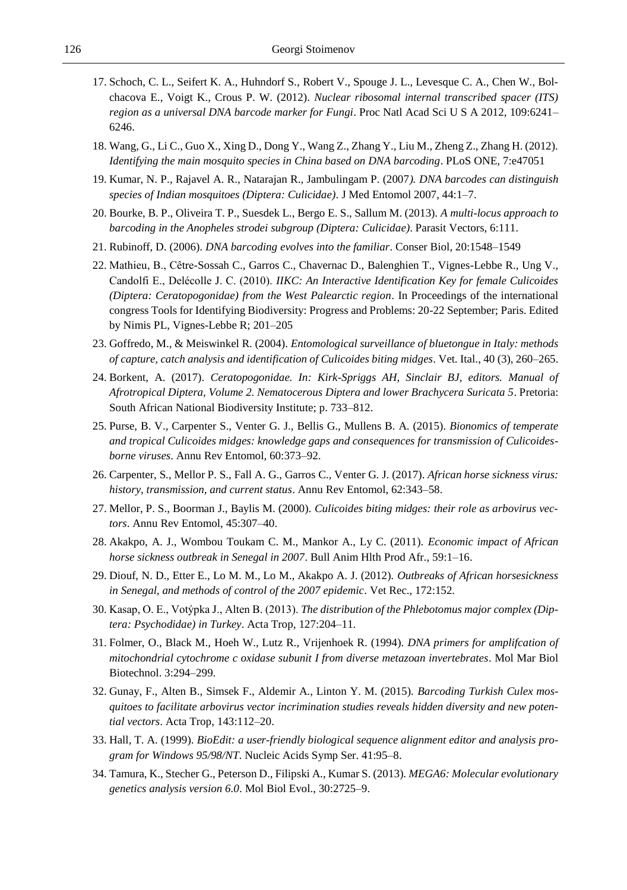- 17. Schoch, C. L., Seifert K. A., Huhndorf S., Robert V., Spouge J. L., Levesque C. A., Chen W., Bolchacova E., Voigt K., Crous P. W. (2012). *Nuclear ribosomal internal transcribed spacer (ITS) region as a universal DNA barcode marker for Fungi*. Proc Natl Acad Sci U S A 2012, 109:6241– 6246.
- 18. Wang, G., Li C., Guo X., Xing D., Dong Y., Wang Z., Zhang Y., Liu M., Zheng Z., Zhang H. (2012). *Identifying the main mosquito species in China based on DNA barcoding*. PLoS ONE, 7:e47051
- 19. Kumar, N. P., Rajavel A. R., Natarajan R., Jambulingam P. (2007*). DNA barcodes can distinguish species of Indian mosquitoes (Diptera: Culicidae)*. J Med Entomol 2007, 44:1–7.
- 20. Bourke, B. P., Oliveira T. P., Suesdek L., Bergo E. S., Sallum M. (2013). *A multi-locus approach to barcoding in the Anopheles strodei subgroup (Diptera: Culicidae)*. Parasit Vectors, 6:111.
- 21. Rubinoff, D. (2006). *DNA barcoding evolves into the familiar*. Conser Biol, 20:1548–1549
- 22. Mathieu, B., Cêtre-Sossah C., Garros C., Chavernac D., Balenghien T., Vignes-Lebbe R., Ung V., Candolfi E., Delécolle J. C. (2010). *IIKC: An Interactive Identification Key for female Culicoides (Diptera: Ceratopogonidae) from the West Palearctic region*. In Proceedings of the international congress Tools for Identifying Biodiversity: Progress and Problems: 20-22 September; Paris. Edited by Nimis PL, Vignes-Lebbe R; 201–205
- 23. Goffredo, M., & Meiswinkel R. (2004). *Entomological surveillance of bluetongue in Italy: methods of capture, catch analysis and identification of Culicoides biting midges*. Vet. Ital., 40 (3), 260–265.
- 24. Borkent, A. (2017). *Ceratopogonidae. In: Kirk-Spriggs AH, Sinclair BJ, editors. Manual of Afrotropical Diptera, Volume 2. Nematocerous Diptera and lower Brachycera Suricata 5*. Pretoria: South African National Biodiversity Institute; p. 733–812.
- 25. Purse, B. V., Carpenter S., Venter G. J., Bellis G., Mullens B. A. (2015). *Bionomics of temperate and tropical Culicoides midges: knowledge gaps and consequences for transmission of Culicoidesborne viruses*. Annu Rev Entomol, 60:373–92.
- 26. Carpenter, S., Mellor P. S., Fall A. G., Garros C., Venter G. J. (2017). *African horse sickness virus: history, transmission, and current status*. Annu Rev Entomol, 62:343–58.
- 27. Mellor, P. S., Boorman J., Baylis M. (2000). *Culicoides biting midges: their role as arbovirus vectors*. Annu Rev Entomol, 45:307–40.
- 28. Akakpo, A. J., Wombou Toukam C. M., Mankor A., Ly C. (2011). *Economic impact of African horse sickness outbreak in Senegal in 2007*. Bull Anim Hlth Prod Afr., 59:1–16.
- 29. Diouf, N. D., Etter E., Lo M. M., Lo M., Akakpo A. J. (2012). *Outbreaks of African horsesickness in Senegal, and methods of control of the 2007 epidemic*. Vet Rec., 172:152.
- 30. Kasap, O. E., Votýpka J., Alten B. (2013). *The distribution of the Phlebotomus major complex (Diptera: Psychodidae) in Turkey*. Acta Trop, 127:204–11.
- 31. Folmer, O., Black M., Hoeh W., Lutz R., Vrijenhoek R. (1994). *DNA primers for amplifcation of mitochondrial cytochrome c oxidase subunit I from diverse metazoan invertebrates*. Mol Mar Biol Biotechnol. 3:294–299.
- 32. Gunay, F., Alten B., Simsek F., Aldemir A., Linton Y. M. (2015). *Barcoding Turkish Culex mosquitoes to facilitate arbovirus vector incrimination studies reveals hidden diversity and new potential vectors*. Acta Trop, 143:112–20.
- 33. Hall, T. A. (1999). *BioEdit: a user-friendly biological sequence alignment editor and analysis program for Windows 95/98/NT*. Nucleic Acids Symp Ser. 41:95–8.
- 34. Tamura, K., Stecher G., Peterson D., Filipski A., Kumar S. (2013). *MEGA6: Molecular evolutionary genetics analysis version 6.0*. Mol Biol Evol., 30:2725–9.